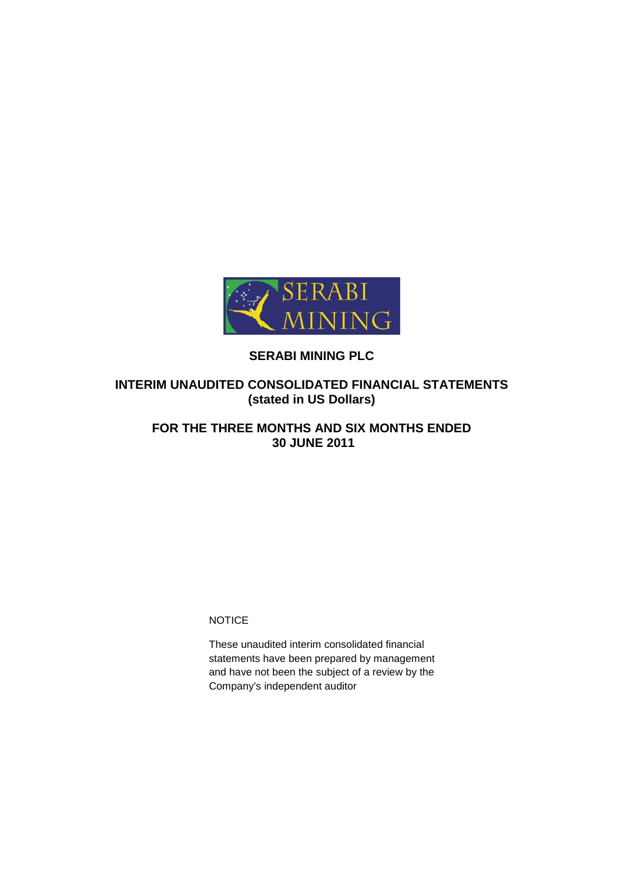

# **SERABI MINING PLC**

# **INTERIM UNAUDITED CONSOLIDATED FINANCIAL STATEMENTS (stated in US Dollars)**

# **FOR THE THREE MONTHS AND SIX MONTHS ENDED 30 JUNE 2011**

**NOTICE** 

These unaudited interim consolidated financial statements have been prepared by management and have not been the subject of a review by the Company's independent auditor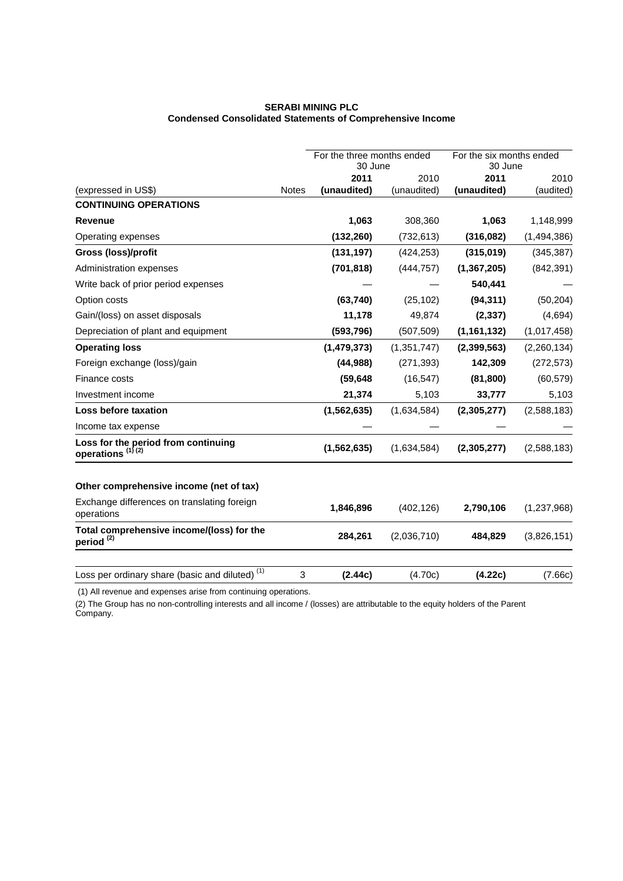## **SERABI MINING PLC Condensed Consolidated Statements of Comprehensive Income**

|                                                                     |              | For the three months ended<br>30 June |             | For the six months ended<br>30 June |             |
|---------------------------------------------------------------------|--------------|---------------------------------------|-------------|-------------------------------------|-------------|
|                                                                     |              | 2011                                  | 2010        | 2011                                | 2010        |
| (expressed in US\$)                                                 | <b>Notes</b> | (unaudited)                           | (unaudited) | (unaudited)                         | (audited)   |
| <b>CONTINUING OPERATIONS</b>                                        |              |                                       |             |                                     |             |
| <b>Revenue</b>                                                      |              | 1,063                                 | 308,360     | 1,063                               | 1,148,999   |
| Operating expenses                                                  |              | (132, 260)                            | (732, 613)  | (316,082)                           | (1,494,386) |
| Gross (loss)/profit                                                 |              | (131, 197)                            | (424, 253)  | (315,019)                           | (345, 387)  |
| Administration expenses                                             |              | (701, 818)                            | (444, 757)  | (1, 367, 205)                       | (842, 391)  |
| Write back of prior period expenses                                 |              |                                       |             | 540,441                             |             |
| Option costs                                                        |              | (63,740)                              | (25, 102)   | (94, 311)                           | (50, 204)   |
| Gain/(loss) on asset disposals                                      |              | 11,178                                | 49,874      | (2, 337)                            | (4,694)     |
| Depreciation of plant and equipment                                 |              | (593, 796)                            | (507, 509)  | (1, 161, 132)                       | (1,017,458) |
| <b>Operating loss</b>                                               |              | (1,479,373)                           | (1,351,747) | (2,399,563)                         | (2,260,134) |
| Foreign exchange (loss)/gain                                        |              | (44, 988)                             | (271, 393)  | 142,309                             | (272, 573)  |
| Finance costs                                                       |              | (59, 648)                             | (16, 547)   | (81, 800)                           | (60, 579)   |
| Investment income                                                   |              | 21,374                                | 5,103       | 33,777                              | 5,103       |
| Loss before taxation                                                |              | (1, 562, 635)                         | (1,634,584) | (2,305,277)                         | (2,588,183) |
| Income tax expense                                                  |              |                                       |             |                                     |             |
| Loss for the period from continuing<br>operations <sup>(1)(2)</sup> |              | (1, 562, 635)                         | (1,634,584) | (2,305,277)                         | (2,588,183) |
| Other comprehensive income (net of tax)                             |              |                                       |             |                                     |             |
| Exchange differences on translating foreign<br>operations           |              | 1,846,896                             | (402, 126)  | 2,790,106                           | (1,237,968) |
| Total comprehensive income/(loss) for the<br>period <sup>(2)</sup>  |              | 284,261                               | (2,036,710) | 484,829                             | (3,826,151) |
| Loss per ordinary share (basic and diluted) <sup>(1)</sup>          | 3            | (2.44c)                               | (4.70c)     | (4.22c)                             | (7.66c)     |

(1) All revenue and expenses arise from continuing operations.

(2) The Group has no non-controlling interests and all income / (losses) are attributable to the equity holders of the Parent Company.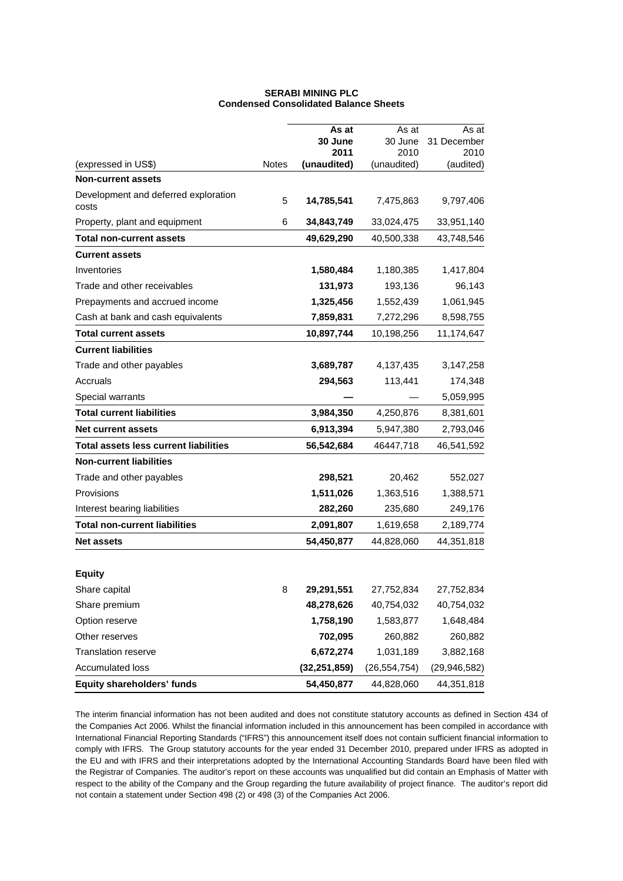|                                               |              | As at           | As at           | As at               |
|-----------------------------------------------|--------------|-----------------|-----------------|---------------------|
|                                               |              | 30 June<br>2011 | 30 June<br>2010 | 31 December<br>2010 |
| (expressed in US\$)                           | <b>Notes</b> | (unaudited)     | (unaudited)     | (audited)           |
| <b>Non-current assets</b>                     |              |                 |                 |                     |
| Development and deferred exploration<br>costs | 5            | 14,785,541      | 7,475,863       | 9,797,406           |
| Property, plant and equipment                 | 6            | 34,843,749      | 33,024,475      | 33,951,140          |
| <b>Total non-current assets</b>               |              | 49,629,290      | 40,500,338      | 43,748,546          |
| <b>Current assets</b>                         |              |                 |                 |                     |
| Inventories                                   |              | 1,580,484       | 1,180,385       | 1,417,804           |
| Trade and other receivables                   |              | 131,973         | 193,136         | 96,143              |
| Prepayments and accrued income                |              | 1,325,456       | 1,552,439       | 1,061,945           |
| Cash at bank and cash equivalents             |              | 7,859,831       | 7,272,296       | 8,598,755           |
| <b>Total current assets</b>                   |              | 10,897,744      | 10,198,256      | 11,174,647          |
| <b>Current liabilities</b>                    |              |                 |                 |                     |
| Trade and other payables                      |              | 3,689,787       | 4,137,435       | 3,147,258           |
| Accruals                                      |              | 294,563         | 113,441         | 174,348             |
| Special warrants                              |              |                 |                 | 5,059,995           |
| <b>Total current liabilities</b>              |              | 3,984,350       | 4,250,876       | 8,381,601           |
| <b>Net current assets</b>                     |              | 6,913,394       | 5,947,380       | 2,793,046           |
| <b>Total assets less current liabilities</b>  |              | 56,542,684      | 46447,718       | 46,541,592          |
| <b>Non-current liabilities</b>                |              |                 |                 |                     |
| Trade and other payables                      |              | 298,521         | 20,462          | 552,027             |
| Provisions                                    |              | 1,511,026       | 1,363,516       | 1,388,571           |
| Interest bearing liabilities                  |              | 282,260         | 235,680         | 249,176             |
| <b>Total non-current liabilities</b>          |              | 2,091,807       | 1,619,658       | 2,189,774           |
| <b>Net assets</b>                             |              | 54,450,877      | 44,828,060      | 44,351,818          |
|                                               |              |                 |                 |                     |
| <b>Equity</b>                                 |              |                 |                 |                     |
| Share capital                                 | 8            | 29,291,551      | 27,752,834      | 27,752,834          |
| Share premium                                 |              | 48,278,626      | 40,754,032      | 40,754,032          |
| Option reserve                                |              | 1,758,190       | 1,583,877       | 1,648,484           |
| Other reserves                                |              | 702,095         | 260,882         | 260,882             |
| <b>Translation reserve</b>                    |              | 6,672,274       | 1,031,189       | 3,882,168           |
| Accumulated loss                              |              | (32, 251, 859)  | (26, 554, 754)  | (29, 946, 582)      |
| Equity shareholders' funds                    |              | 54,450,877      | 44,828,060      | 44,351,818          |

### **SERABI MINING PLC Condensed Consolidated Balance Sheets**

The interim financial information has not been audited and does not constitute statutory accounts as defined in Section 434 of the Companies Act 2006. Whilst the financial information included in this announcement has been compiled in accordance with International Financial Reporting Standards ("IFRS") this announcement itself does not contain sufficient financial information to comply with IFRS. The Group statutory accounts for the year ended 31 December 2010, prepared under IFRS as adopted in the EU and with IFRS and their interpretations adopted by the International Accounting Standards Board have been filed with the Registrar of Companies. The auditor's report on these accounts was unqualified but did contain an Emphasis of Matter with respect to the ability of the Company and the Group regarding the future availability of project finance. The auditor's report did not contain a statement under Section 498 (2) or 498 (3) of the Companies Act 2006.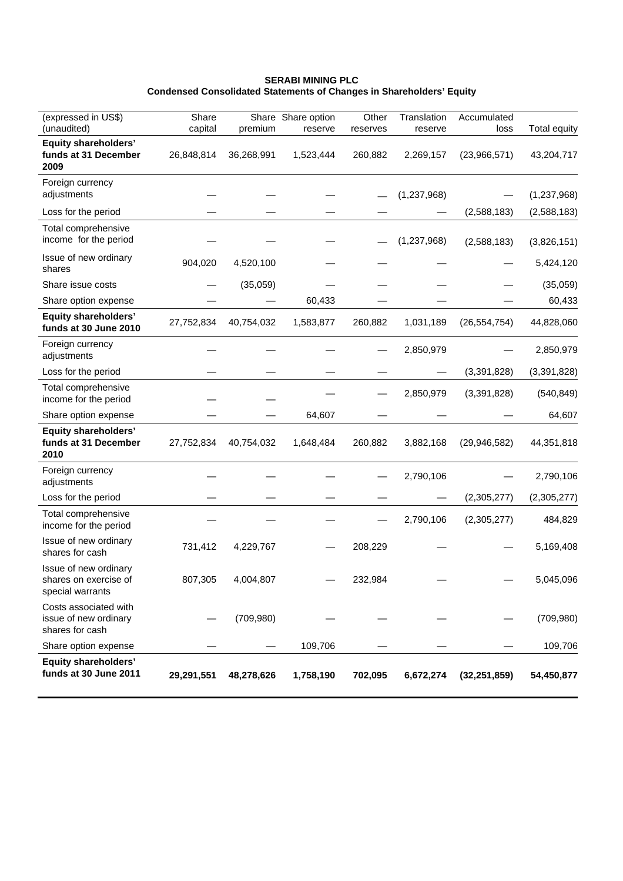## **SERABI MINING PLC Condensed Consolidated Statements of Changes in Shareholders' Equity**

| (expressed in US\$)                                                | Share      |            | Share Share option | Other    | Translation | Accumulated    |                     |
|--------------------------------------------------------------------|------------|------------|--------------------|----------|-------------|----------------|---------------------|
| (unaudited)                                                        | capital    | premium    | reserve            | reserves | reserve     | loss           | <b>Total equity</b> |
| <b>Equity shareholders'</b><br>funds at 31 December<br>2009        | 26,848,814 | 36,268,991 | 1,523,444          | 260,882  | 2,269,157   | (23,966,571)   | 43,204,717          |
| Foreign currency<br>adjustments                                    |            |            |                    |          | (1,237,968) |                | (1, 237, 968)       |
| Loss for the period                                                |            |            |                    |          |             | (2,588,183)    | (2,588,183)         |
| Total comprehensive<br>income for the period                       |            |            |                    |          | (1,237,968) | (2,588,183)    | (3,826,151)         |
| Issue of new ordinary<br>shares                                    | 904,020    | 4,520,100  |                    |          |             |                | 5,424,120           |
| Share issue costs                                                  |            | (35,059)   |                    |          |             |                | (35,059)            |
| Share option expense                                               |            |            | 60,433             |          |             |                | 60,433              |
| <b>Equity shareholders'</b><br>funds at 30 June 2010               | 27,752,834 | 40,754,032 | 1,583,877          | 260,882  | 1,031,189   | (26, 554, 754) | 44,828,060          |
| Foreign currency<br>adjustments                                    |            |            |                    |          | 2,850,979   |                | 2,850,979           |
| Loss for the period                                                |            |            |                    |          |             | (3,391,828)    | (3, 391, 828)       |
| Total comprehensive<br>income for the period                       |            |            |                    |          | 2,850,979   | (3,391,828)    | (540, 849)          |
| Share option expense                                               |            |            | 64,607             |          |             |                | 64,607              |
| <b>Equity shareholders'</b><br>funds at 31 December<br>2010        | 27,752,834 | 40,754,032 | 1,648,484          | 260,882  | 3,882,168   | (29, 946, 582) | 44,351,818          |
| Foreign currency<br>adjustments                                    |            |            |                    |          | 2,790,106   |                | 2,790,106           |
| Loss for the period                                                |            |            |                    |          |             | (2,305,277)    | (2,305,277)         |
| Total comprehensive<br>income for the period                       |            |            |                    |          | 2,790,106   | (2,305,277)    | 484,829             |
| Issue of new ordinary<br>shares for cash                           | 731,412    | 4,229,767  |                    | 208,229  |             |                | 5,169,408           |
| Issue of new ordinary<br>shares on exercise of<br>special warrants | 807,305    | 4,004,807  |                    | 232,984  |             |                | 5,045,096           |
| Costs associated with<br>issue of new ordinary<br>shares for cash  |            | (709, 980) |                    |          |             |                | (709, 980)          |
| Share option expense                                               |            |            | 109,706            |          |             |                | 109,706             |
| <b>Equity shareholders'</b><br>funds at 30 June 2011               | 29,291,551 | 48,278,626 | 1,758,190          | 702,095  | 6,672,274   | (32, 251, 859) | 54,450,877          |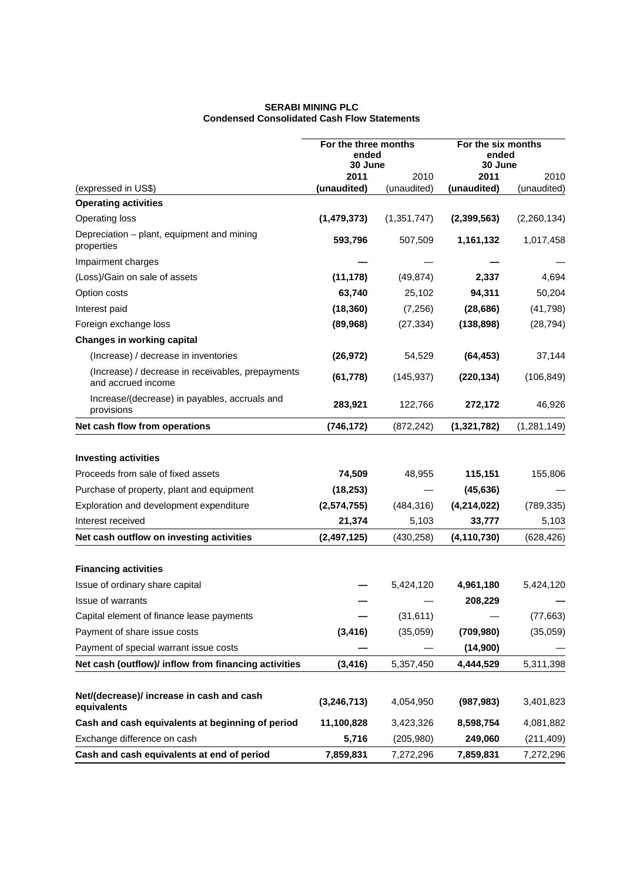### **SERABI MINING PLC Condensed Consolidated Cash Flow Statements**

|                                                                         | For the three months<br>ended<br>30 June |               | For the six months<br>ended<br>30 June |             |
|-------------------------------------------------------------------------|------------------------------------------|---------------|----------------------------------------|-------------|
|                                                                         | 2011                                     | 2010          | 2011                                   | 2010        |
| (expressed in US\$)                                                     | (unaudited)                              | (unaudited)   | (unaudited)                            | (unaudited) |
| <b>Operating activities</b>                                             |                                          |               |                                        |             |
| Operating loss                                                          | (1,479,373)                              | (1, 351, 747) | (2, 399, 563)                          | (2,260,134) |
| Depreciation - plant, equipment and mining<br>properties                | 593,796                                  | 507,509       | 1,161,132                              | 1,017,458   |
| Impairment charges                                                      |                                          |               |                                        |             |
| (Loss)/Gain on sale of assets                                           | (11, 178)                                | (49, 874)     | 2,337                                  | 4,694       |
| Option costs                                                            | 63,740                                   | 25,102        | 94,311                                 | 50,204      |
| Interest paid                                                           | (18, 360)                                | (7,256)       | (28, 686)                              | (41, 798)   |
| Foreign exchange loss                                                   | (89,968)                                 | (27, 334)     | (138, 898)                             | (28, 794)   |
| <b>Changes in working capital</b>                                       |                                          |               |                                        |             |
| (Increase) / decrease in inventories                                    | (26, 972)                                | 54,529        | (64, 453)                              | 37,144      |
| (Increase) / decrease in receivables, prepayments<br>and accrued income | (61, 778)                                | (145, 937)    | (220, 134)                             | (106, 849)  |
| Increase/(decrease) in payables, accruals and<br>provisions             | 283,921                                  | 122,766       | 272,172                                | 46,926      |
| Net cash flow from operations                                           | (746, 172)                               | (872, 242)    | (1, 321, 782)                          | (1,281,149) |
| <b>Investing activities</b>                                             |                                          |               |                                        |             |
| Proceeds from sale of fixed assets                                      | 74,509                                   | 48,955        | 115,151                                | 155,806     |
| Purchase of property, plant and equipment                               | (18, 253)                                |               | (45, 636)                              |             |
| Exploration and development expenditure                                 | (2, 574, 755)                            | (484, 316)    | (4,214,022)                            | (789, 335)  |
| Interest received                                                       | 21,374                                   | 5,103         | 33,777                                 | 5,103       |
| Net cash outflow on investing activities                                | (2, 497, 125)                            | (430, 258)    | (4, 110, 730)                          | (628, 426)  |
| <b>Financing activities</b>                                             |                                          |               |                                        |             |
| Issue of ordinary share capital                                         |                                          | 5,424,120     | 4,961,180                              | 5,424,120   |
| <b>Issue of warrants</b>                                                |                                          |               | 208,229                                |             |
| Capital element of finance lease payments                               |                                          | (31, 611)     |                                        | (77, 663)   |
| Payment of share issue costs                                            | (3, 416)                                 | (35,059)      | (709, 980)                             | (35,059)    |
| Payment of special warrant issue costs                                  |                                          |               | (14,900)                               |             |
| Net cash (outflow)/ inflow from financing activities                    | (3, 416)                                 | 5,357,450     | 4,444,529                              | 5,311,398   |
|                                                                         |                                          |               |                                        |             |
| Net/(decrease)/ increase in cash and cash<br>equivalents                | (3, 246, 713)                            | 4,054,950     | (987, 983)                             | 3,401,823   |
| Cash and cash equivalents at beginning of period                        | 11,100,828                               | 3,423,326     | 8,598,754                              | 4,081,882   |
| Exchange difference on cash                                             | 5,716                                    | (205, 980)    | 249,060                                | (211, 409)  |
| Cash and cash equivalents at end of period                              | 7,859,831                                | 7,272,296     | 7,859,831                              | 7,272,296   |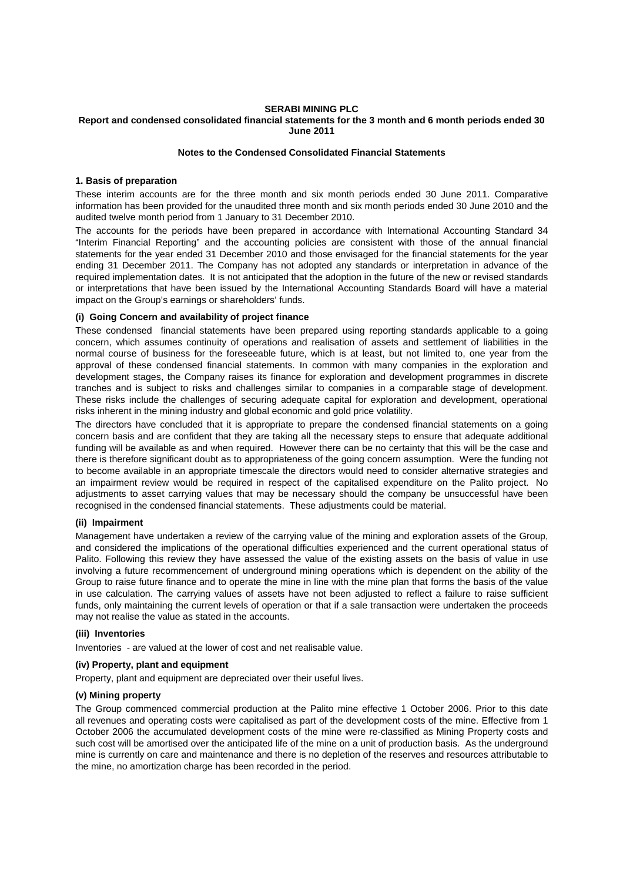#### **SERABI MINING PLC Report and condensed consolidated financial statements for the 3 month and 6 month periods ended 30 June 2011**

#### **Notes to the Condensed Consolidated Financial Statements**

#### **1. Basis of preparation**

These interim accounts are for the three month and six month periods ended 30 June 2011. Comparative information has been provided for the unaudited three month and six month periods ended 30 June 2010 and the audited twelve month period from 1 January to 31 December 2010.

The accounts for the periods have been prepared in accordance with International Accounting Standard 34 "Interim Financial Reporting" and the accounting policies are consistent with those of the annual financial statements for the year ended 31 December 2010 and those envisaged for the financial statements for the year ending 31 December 2011. The Company has not adopted any standards or interpretation in advance of the required implementation dates. It is not anticipated that the adoption in the future of the new or revised standards or interpretations that have been issued by the International Accounting Standards Board will have a material impact on the Group's earnings or shareholders' funds.

## **(i) Going Concern and availability of project finance**

These condensed financial statements have been prepared using reporting standards applicable to a going concern, which assumes continuity of operations and realisation of assets and settlement of liabilities in the normal course of business for the foreseeable future, which is at least, but not limited to, one year from the approval of these condensed financial statements. In common with many companies in the exploration and development stages, the Company raises its finance for exploration and development programmes in discrete tranches and is subject to risks and challenges similar to companies in a comparable stage of development. These risks include the challenges of securing adequate capital for exploration and development, operational risks inherent in the mining industry and global economic and gold price volatility.

The directors have concluded that it is appropriate to prepare the condensed financial statements on a going concern basis and are confident that they are taking all the necessary steps to ensure that adequate additional funding will be available as and when required. However there can be no certainty that this will be the case and there is therefore significant doubt as to appropriateness of the going concern assumption. Were the funding not to become available in an appropriate timescale the directors would need to consider alternative strategies and an impairment review would be required in respect of the capitalised expenditure on the Palito project. No adjustments to asset carrying values that may be necessary should the company be unsuccessful have been recognised in the condensed financial statements. These adjustments could be material.

#### **(ii) Impairment**

Management have undertaken a review of the carrying value of the mining and exploration assets of the Group, and considered the implications of the operational difficulties experienced and the current operational status of Palito. Following this review they have assessed the value of the existing assets on the basis of value in use involving a future recommencement of underground mining operations which is dependent on the ability of the Group to raise future finance and to operate the mine in line with the mine plan that forms the basis of the value in use calculation. The carrying values of assets have not been adjusted to reflect a failure to raise sufficient funds, only maintaining the current levels of operation or that if a sale transaction were undertaken the proceeds may not realise the value as stated in the accounts.

#### **(iii) Inventories**

Inventories - are valued at the lower of cost and net realisable value.

#### **(iv) Property, plant and equipment**

Property, plant and equipment are depreciated over their useful lives.

#### **(v) Mining property**

The Group commenced commercial production at the Palito mine effective 1 October 2006. Prior to this date all revenues and operating costs were capitalised as part of the development costs of the mine. Effective from 1 October 2006 the accumulated development costs of the mine were re-classified as Mining Property costs and such cost will be amortised over the anticipated life of the mine on a unit of production basis. As the underground mine is currently on care and maintenance and there is no depletion of the reserves and resources attributable to the mine, no amortization charge has been recorded in the period.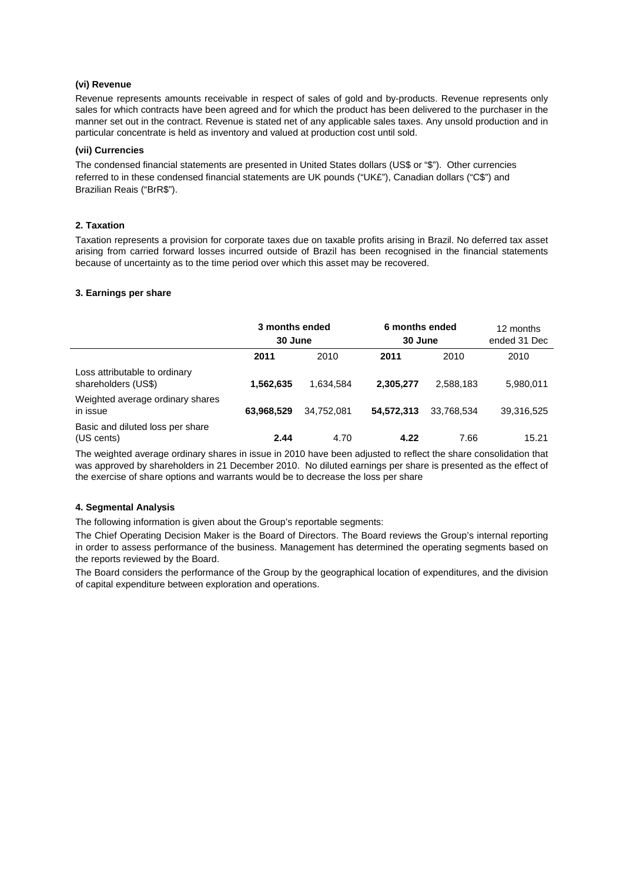### **(vi) Revenue**

Revenue represents amounts receivable in respect of sales of gold and by-products. Revenue represents only sales for which contracts have been agreed and for which the product has been delivered to the purchaser in the manner set out in the contract. Revenue is stated net of any applicable sales taxes. Any unsold production and in particular concentrate is held as inventory and valued at production cost until sold.

#### **(vii) Currencies**

The condensed financial statements are presented in United States dollars (US\$ or "\$"). Other currencies referred to in these condensed financial statements are UK pounds ("UK£"), Canadian dollars ("C\$") and Brazilian Reais ("BrR\$").

### **2. Taxation**

Taxation represents a provision for corporate taxes due on taxable profits arising in Brazil. No deferred tax asset arising from carried forward losses incurred outside of Brazil has been recognised in the financial statements because of uncertainty as to the time period over which this asset may be recovered.

#### **3. Earnings per share**

|                                                      | 3 months ended<br>30 June |            | 6 months ended<br>30 June |            | 12 months<br>ended 31 Dec |
|------------------------------------------------------|---------------------------|------------|---------------------------|------------|---------------------------|
|                                                      | 2011                      | 2010       | 2011                      | 2010       | 2010                      |
| Loss attributable to ordinary<br>shareholders (US\$) | 1,562,635                 | 1.634.584  | 2,305,277                 | 2,588,183  | 5,980,011                 |
| Weighted average ordinary shares<br>in issue         | 63,968,529                | 34.752.081 | 54,572,313                | 33.768.534 | 39,316,525                |
| Basic and diluted loss per share<br>(US cents)       | 2.44                      | 4.70       | 4.22                      | 7.66       | 15.21                     |

The weighted average ordinary shares in issue in 2010 have been adjusted to reflect the share consolidation that was approved by shareholders in 21 December 2010. No diluted earnings per share is presented as the effect of the exercise of share options and warrants would be to decrease the loss per share

#### **4. Segmental Analysis**

The following information is given about the Group's reportable segments:

The Chief Operating Decision Maker is the Board of Directors. The Board reviews the Group's internal reporting in order to assess performance of the business. Management has determined the operating segments based on the reports reviewed by the Board.

The Board considers the performance of the Group by the geographical location of expenditures, and the division of capital expenditure between exploration and operations.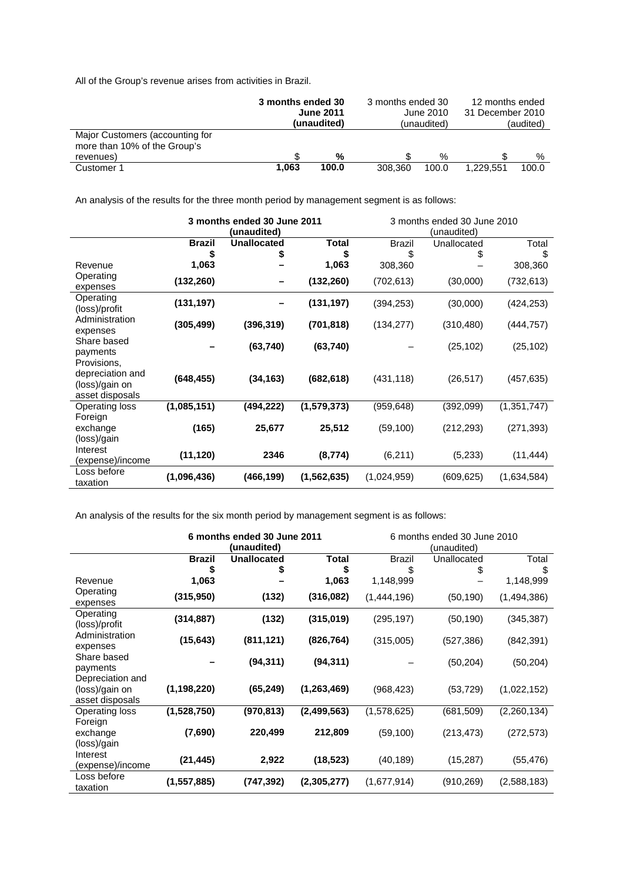All of the Group's revenue arises from activities in Brazil.

|                                                                              | 3 months ended 30<br><b>June 2011</b><br>(unaudited) |       | 3 months ended 30<br>June 2010<br>(unaudited) |       | 12 months ended<br>31 December 2010<br>(audited) |       |
|------------------------------------------------------------------------------|------------------------------------------------------|-------|-----------------------------------------------|-------|--------------------------------------------------|-------|
| Major Customers (accounting for<br>more than 10% of the Group's<br>revenues) |                                                      | %     |                                               | %     |                                                  | %     |
| Customer 1                                                                   | 1.063                                                | 100.0 | 308,360                                       | 100.0 | 1.229.551                                        | 100.0 |

An analysis of the results for the three month period by management segment is as follows:

|                                    | 3 months ended 30 June 2011 |                    |               | 3 months ended 30 June 2010 |             |             |  |  |
|------------------------------------|-----------------------------|--------------------|---------------|-----------------------------|-------------|-------------|--|--|
|                                    |                             | (unaudited)        |               |                             | (unaudited) |             |  |  |
|                                    | <b>Brazil</b>               | <b>Unallocated</b> | Total         | <b>Brazil</b>               | Unallocated | Total       |  |  |
|                                    | \$                          | \$                 | \$            | \$                          | \$          | \$          |  |  |
| Revenue                            | 1,063                       |                    | 1,063         | 308,360                     |             | 308,360     |  |  |
| Operating                          | (132, 260)                  |                    | (132, 260)    | (702, 613)                  | (30,000)    | (732, 613)  |  |  |
| expenses                           |                             |                    |               |                             |             |             |  |  |
| Operating                          | (131, 197)                  |                    | (131, 197)    | (394,253)                   | (30,000)    | (424, 253)  |  |  |
| (loss)/profit                      |                             |                    |               |                             |             |             |  |  |
| Administration                     | (305, 499)                  | (396, 319)         | (701, 818)    | (134, 277)                  | (310, 480)  | (444, 757)  |  |  |
| expenses                           |                             |                    |               |                             |             |             |  |  |
| Share based                        |                             | (63, 740)          | (63, 740)     |                             | (25, 102)   | (25, 102)   |  |  |
| payments                           |                             |                    |               |                             |             |             |  |  |
| Provisions,                        |                             |                    |               |                             |             |             |  |  |
| depreciation and<br>(loss)/gain on | (648, 455)                  | (34, 163)          | (682, 618)    | (431, 118)                  | (26, 517)   | (457, 635)  |  |  |
| asset disposals                    |                             |                    |               |                             |             |             |  |  |
| <b>Operating loss</b>              | (1,085,151)                 | (494,222)          | (1, 579, 373) | (959,648)                   | (392,099)   | (1,351,747) |  |  |
| Foreign                            |                             |                    |               |                             |             |             |  |  |
| exchange                           | (165)                       | 25,677             | 25,512        | (59, 100)                   | (212, 293)  | (271, 393)  |  |  |
| (loss)/gain                        |                             |                    |               |                             |             |             |  |  |
| Interest                           |                             |                    |               |                             |             |             |  |  |
| (expense)/income                   | (11, 120)                   | 2346               | (8, 774)      | (6, 211)                    | (5,233)     | (11, 444)   |  |  |
| Loss before                        |                             |                    |               |                             |             |             |  |  |
| taxation                           | (1,096,436)                 | (466, 199)         | (1, 562, 635) | (1,024,959)                 | (609, 625)  | (1,634,584) |  |  |

An analysis of the results for the six month period by management segment is as follows:

|                                                       | 6 months ended 30 June 2011<br>(unaudited) |                    |               | 6 months ended 30 June 2010<br>(unaudited) |             |             |
|-------------------------------------------------------|--------------------------------------------|--------------------|---------------|--------------------------------------------|-------------|-------------|
|                                                       | <b>Brazil</b>                              | <b>Unallocated</b> | Total         | <b>Brazil</b>                              | Unallocated | Total       |
|                                                       |                                            | \$                 | \$            | \$                                         |             | \$          |
| Revenue                                               | 1,063                                      |                    | 1,063         | 1,148,999                                  |             | 1,148,999   |
| Operating<br>expenses                                 | (315, 950)                                 | (132)              | (316, 082)    | (1,444,196)                                | (50, 190)   | (1,494,386) |
| Operating<br>(loss)/profit                            | (314, 887)                                 | (132)              | (315,019)     | (295, 197)                                 | (50, 190)   | (345, 387)  |
| Administration<br>expenses                            | (15, 643)                                  | (811, 121)         | (826, 764)    | (315,005)                                  | (527,386)   | (842, 391)  |
| Share based<br>payments                               |                                            | (94, 311)          | (94, 311)     |                                            | (50, 204)   | (50, 204)   |
| Depreciation and<br>(loss)/gain on<br>asset disposals | (1, 198, 220)                              | (65, 249)          | (1, 263, 469) | (968, 423)                                 | (53, 729)   | (1,022,152) |
| Operating loss<br>Foreign                             | (1,528,750)                                | (970, 813)         | (2,499,563)   | (1,578,625)                                | (681,509)   | (2,260,134) |
| exchange<br>(loss)/gain                               | (7,690)                                    | 220,499            | 212,809       | (59, 100)                                  | (213,473)   | (272,573)   |
| Interest<br>(expense)/income                          | (21, 445)                                  | 2,922              | (18, 523)     | (40, 189)                                  | (15, 287)   | (55, 476)   |
| Loss before<br>taxation                               | (1,557,885)                                | (747, 392)         | (2,305,277)   | (1,677,914)                                | (910,269)   | (2,588,183) |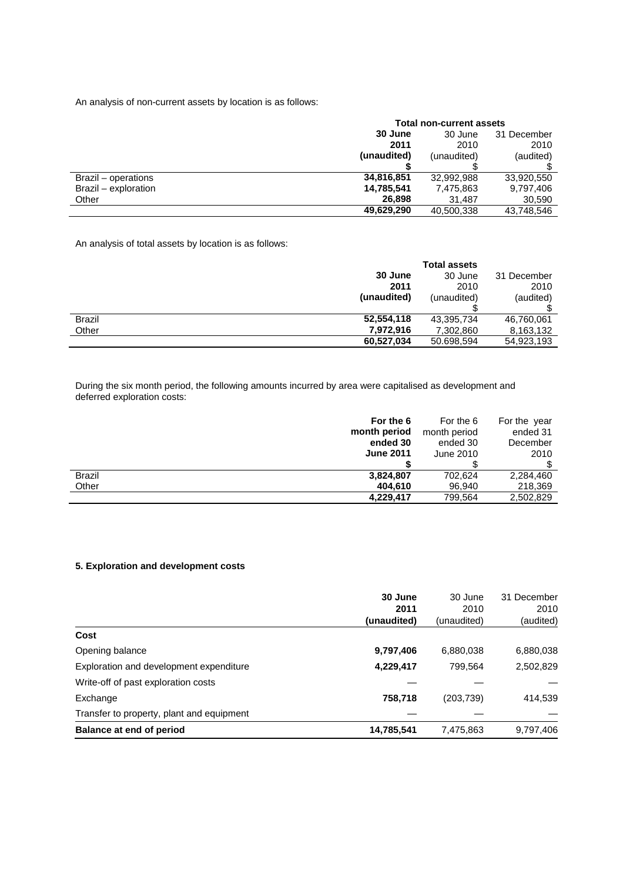An analysis of non-current assets by location is as follows:

|                      | <b>Total non-current assets</b> |             |             |  |
|----------------------|---------------------------------|-------------|-------------|--|
|                      | 30 June                         | 30 June     | 31 December |  |
|                      | 2011                            | 2010        | 2010        |  |
|                      | (unaudited)                     | (unaudited) | (audited)   |  |
|                      |                                 |             |             |  |
| Brazil – operations  | 34,816,851                      | 32.992.988  | 33,920,550  |  |
| Brazil - exploration | 14,785,541                      | 7,475,863   | 9,797,406   |  |
| Other                | 26,898                          | 31.487      | 30,590      |  |
|                      | 49,629,290                      | 40.500.338  | 43,748,546  |  |

An analysis of total assets by location is as follows:

|               |             | <b>Total assets</b> |             |
|---------------|-------------|---------------------|-------------|
|               | 30 June     | 30 June             | 31 December |
|               | 2011        | 2010                | 2010        |
|               | (unaudited) | (unaudited)         | (audited)   |
|               |             |                     |             |
| <b>Brazil</b> | 52,554,118  | 43,395,734          | 46,760,061  |
| Other         | 7,972,916   | 7,302,860           | 8,163,132   |
|               | 60,527,034  | 50.698,594          | 54,923,193  |

During the six month period, the following amounts incurred by area were capitalised as development and deferred exploration costs:

|                  | For the 6 | For the 6    | For the year |
|------------------|-----------|--------------|--------------|
| month period     |           | month period | ended 31     |
|                  | ended 30  | ended 30     | December     |
| <b>June 2011</b> |           | June 2010    | 2010         |
|                  |           |              |              |
| <b>Brazil</b>    | 3,824,807 | 702.624      | 2,284,460    |
| Other            | 404.610   | 96.940       | 218,369      |
|                  | 4,229,417 | 799,564      | 2,502,829    |

## **5. Exploration and development costs**

| 30 June     | 30 June     | 31 December |
|-------------|-------------|-------------|
| 2011        | 2010        | 2010        |
| (unaudited) | (unaudited) | (audited)   |
|             |             |             |
| 9,797,406   | 6,880,038   | 6,880,038   |
| 4,229,417   | 799.564     | 2,502,829   |
|             |             |             |
| 758,718     | (203, 739)  | 414,539     |
|             |             |             |
| 14,785,541  | 7,475,863   | 9,797,406   |
|             |             |             |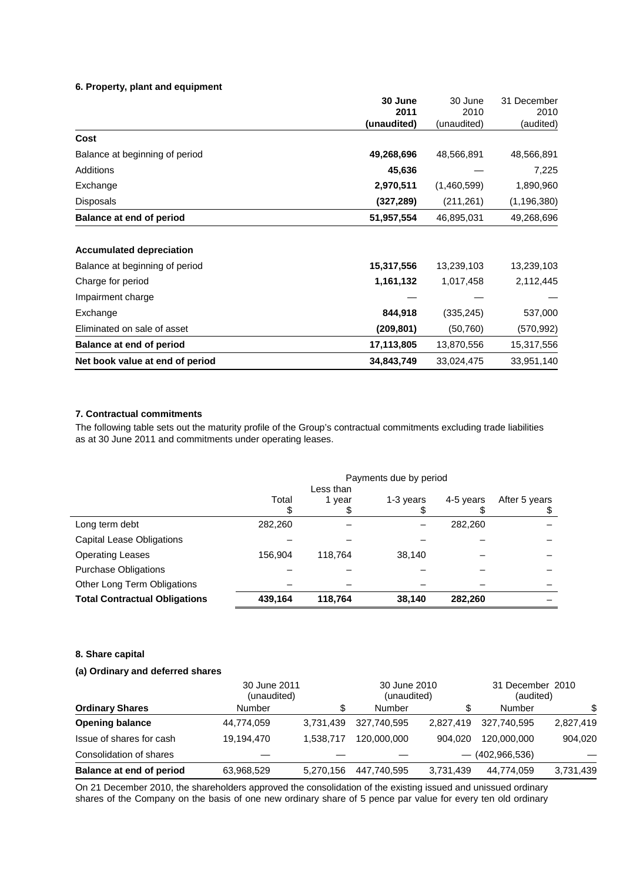## **6. Property, plant and equipment**

|                                 | 30 June     | 30 June     | 31 December   |
|---------------------------------|-------------|-------------|---------------|
|                                 | 2011        | 2010        | 2010          |
|                                 | (unaudited) | (unaudited) | (audited)     |
| Cost                            |             |             |               |
| Balance at beginning of period  | 49,268,696  | 48,566,891  | 48,566,891    |
| Additions                       | 45,636      |             | 7,225         |
| Exchange                        | 2,970,511   | (1,460,599) | 1,890,960     |
| <b>Disposals</b>                | (327, 289)  | (211, 261)  | (1, 196, 380) |
| <b>Balance at end of period</b> | 51,957,554  | 46,895,031  | 49,268,696    |
| <b>Accumulated depreciation</b> |             |             |               |
| Balance at beginning of period  | 15,317,556  | 13,239,103  | 13,239,103    |
| Charge for period               | 1,161,132   | 1,017,458   | 2,112,445     |
| Impairment charge               |             |             |               |
| Exchange                        | 844,918     | (335, 245)  | 537,000       |
| Eliminated on sale of asset     | (209, 801)  | (50, 760)   | (570, 992)    |
| Balance at end of period        | 17,113,805  | 13,870,556  | 15,317,556    |
| Net book value at end of period | 34,843,749  | 33,024,475  | 33,951,140    |

## **7. Contractual commitments**

The following table sets out the maturity profile of the Group's contractual commitments excluding trade liabilities as at 30 June 2011 and commitments under operating leases.

|                                      | Payments due by period<br>Less than |         |           |           |               |
|--------------------------------------|-------------------------------------|---------|-----------|-----------|---------------|
|                                      | Total                               | 1 year  | 1-3 years | 4-5 years | After 5 years |
| Long term debt                       | 282,260                             |         |           | 282,260   |               |
| Capital Lease Obligations            |                                     |         |           |           |               |
| <b>Operating Leases</b>              | 156.904                             | 118.764 | 38,140    |           |               |
| <b>Purchase Obligations</b>          |                                     |         |           |           |               |
| Other Long Term Obligations          |                                     |         |           |           |               |
| <b>Total Contractual Obligations</b> | 439,164                             | 118.764 | 38,140    | 282.260   |               |

#### **8. Share capital**

## **(a) Ordinary and deferred shares**

|                          | 30 June 2011<br>(unaudited) |           | 30 June 2010<br>(unaudited) |           | 31 December 2010<br>(audited) |           |
|--------------------------|-----------------------------|-----------|-----------------------------|-----------|-------------------------------|-----------|
| <b>Ordinary Shares</b>   | Number                      | \$        | Number                      | \$        | Number                        | \$        |
| <b>Opening balance</b>   | 44,774,059                  | 3.731.439 | 327.740.595                 | 2.827.419 | 327.740.595                   | 2,827,419 |
| Issue of shares for cash | 19,194,470                  | 1.538.717 | 120,000,000                 | 904.020   | 120,000,000                   | 904,020   |
| Consolidation of shares  |                             |           |                             |           | $-$ (402,966,536)             |           |
| Balance at end of period | 63,968,529                  | 5.270.156 | 447.740.595                 | 3,731,439 | 44,774,059                    | 3,731,439 |

On 21 December 2010, the shareholders approved the consolidation of the existing issued and unissued ordinary shares of the Company on the basis of one new ordinary share of 5 pence par value for every ten old ordinary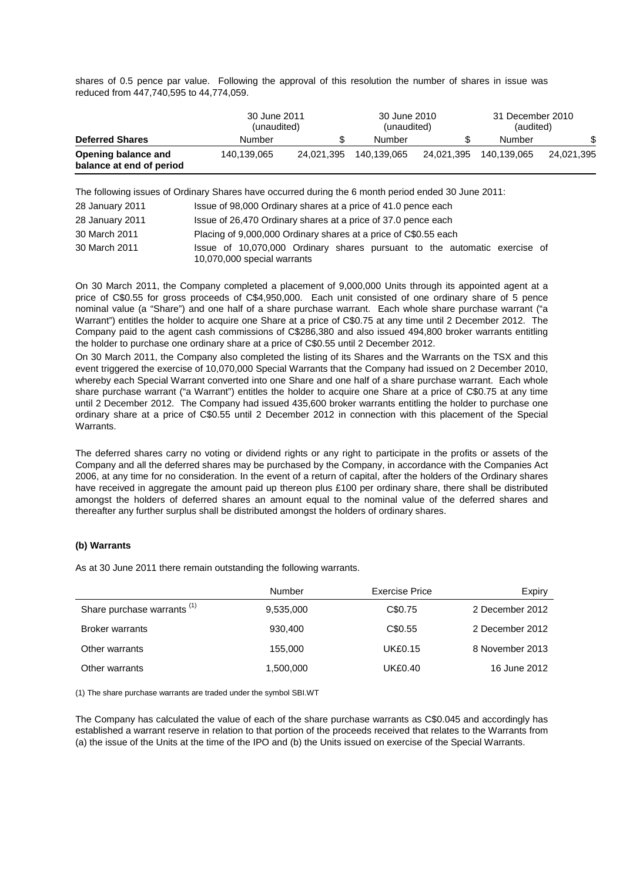shares of 0.5 pence par value. Following the approval of this resolution the number of shares in issue was reduced from 447,740,595 to 44,774,059.

|                                                 |             | 30 June 2011<br>(unaudited) |             | 30 June 2010<br>(unaudited) |             | 31 December 2010<br>(audited) |  |
|-------------------------------------------------|-------------|-----------------------------|-------------|-----------------------------|-------------|-------------------------------|--|
| <b>Deferred Shares</b>                          | Number      | \$                          | Number      | \$                          | Number      | \$                            |  |
| Opening balance and<br>balance at end of period | 140,139,065 | 24.021.395                  | 140.139.065 | 24.021.395                  | 140.139.065 | 24,021,395                    |  |

The following issues of Ordinary Shares have occurred during the 6 month period ended 30 June 2011:

| 28 January 2011 | Issue of 98,000 Ordinary shares at a price of 41.0 pence each                                            |
|-----------------|----------------------------------------------------------------------------------------------------------|
| 28 January 2011 | Issue of 26,470 Ordinary shares at a price of 37.0 pence each                                            |
| 30 March 2011   | Placing of 9,000,000 Ordinary shares at a price of C\$0.55 each                                          |
| 30 March 2011   | Issue of 10,070,000 Ordinary shares pursuant to the automatic exercise of<br>10,070,000 special warrants |

On 30 March 2011, the Company completed a placement of 9,000,000 Units through its appointed agent at a price of C\$0.55 for gross proceeds of C\$4,950,000. Each unit consisted of one ordinary share of 5 pence nominal value (a "Share") and one half of a share purchase warrant. Each whole share purchase warrant ("a Warrant") entitles the holder to acquire one Share at a price of C\$0.75 at any time until 2 December 2012. The Company paid to the agent cash commissions of C\$286,380 and also issued 494,800 broker warrants entitling the holder to purchase one ordinary share at a price of C\$0.55 until 2 December 2012.

On 30 March 2011, the Company also completed the listing of its Shares and the Warrants on the TSX and this event triggered the exercise of 10,070,000 Special Warrants that the Company had issued on 2 December 2010, whereby each Special Warrant converted into one Share and one half of a share purchase warrant. Each whole share purchase warrant ("a Warrant") entitles the holder to acquire one Share at a price of C\$0.75 at any time until 2 December 2012. The Company had issued 435,600 broker warrants entitling the holder to purchase one ordinary share at a price of C\$0.55 until 2 December 2012 in connection with this placement of the Special Warrants.

The deferred shares carry no voting or dividend rights or any right to participate in the profits or assets of the Company and all the deferred shares may be purchased by the Company, in accordance with the Companies Act 2006, at any time for no consideration. In the event of a return of capital, after the holders of the Ordinary shares have received in aggregate the amount paid up thereon plus £100 per ordinary share, there shall be distributed amongst the holders of deferred shares an amount equal to the nominal value of the deferred shares and thereafter any further surplus shall be distributed amongst the holders of ordinary shares.

## **(b) Warrants**

As at 30 June 2011 there remain outstanding the following warrants.

|                                        | Number    | Exercise Price | Expiry          |
|----------------------------------------|-----------|----------------|-----------------|
| Share purchase warrants <sup>(1)</sup> | 9,535,000 | C\$0.75        | 2 December 2012 |
| <b>Broker warrants</b>                 | 930,400   | C\$0.55        | 2 December 2012 |
| Other warrants                         | 155,000   | <b>UK£0.15</b> | 8 November 2013 |
| Other warrants                         | 1,500,000 | UK£0.40        | 16 June 2012    |

(1) The share purchase warrants are traded under the symbol SBI.WT

The Company has calculated the value of each of the share purchase warrants as C\$0.045 and accordingly has established a warrant reserve in relation to that portion of the proceeds received that relates to the Warrants from (a) the issue of the Units at the time of the IPO and (b) the Units issued on exercise of the Special Warrants.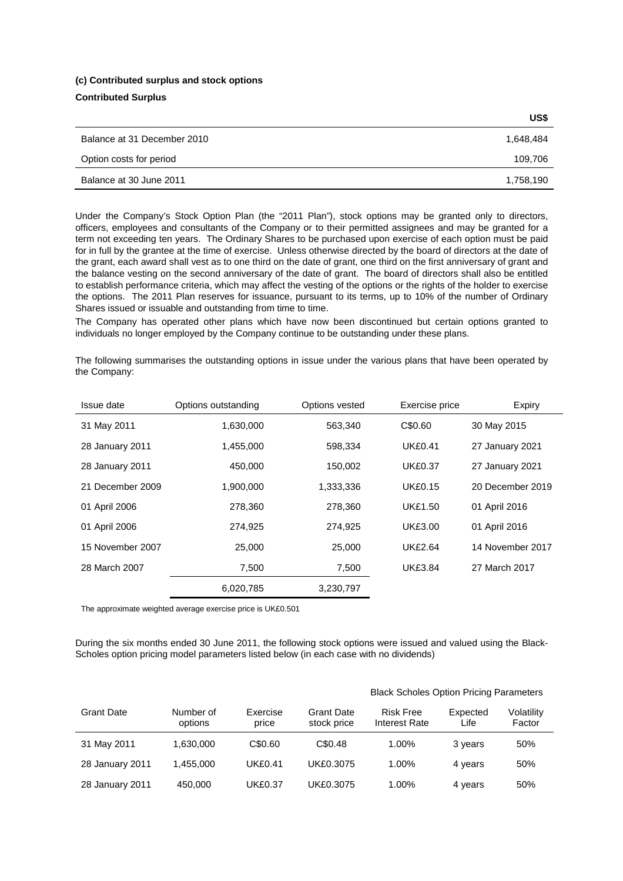#### **(c) Contributed surplus and stock options**

## **Contributed Surplus**

|                             | US\$      |
|-----------------------------|-----------|
| Balance at 31 December 2010 | 1,648,484 |
| Option costs for period     | 109,706   |
| Balance at 30 June 2011     | 1,758,190 |

Under the Company's Stock Option Plan (the "2011 Plan"), stock options may be granted only to directors, officers, employees and consultants of the Company or to their permitted assignees and may be granted for a term not exceeding ten years. The Ordinary Shares to be purchased upon exercise of each option must be paid for in full by the grantee at the time of exercise. Unless otherwise directed by the board of directors at the date of the grant, each award shall vest as to one third on the date of grant, one third on the first anniversary of grant and the balance vesting on the second anniversary of the date of grant. The board of directors shall also be entitled to establish performance criteria, which may affect the vesting of the options or the rights of the holder to exercise the options. The 2011 Plan reserves for issuance, pursuant to its terms, up to 10% of the number of Ordinary Shares issued or issuable and outstanding from time to time.

The Company has operated other plans which have now been discontinued but certain options granted to individuals no longer employed by the Company continue to be outstanding under these plans.

The following summarises the outstanding options in issue under the various plans that have been operated by the Company:

| Issue date       | Options outstanding | Options vested | Exercise price | Expiry           |
|------------------|---------------------|----------------|----------------|------------------|
| 31 May 2011      | 1,630,000           | 563,340        | C\$0.60        | 30 May 2015      |
| 28 January 2011  | 1,455,000           | 598,334        | <b>UK£0.41</b> | 27 January 2021  |
| 28 January 2011  | 450,000             | 150,002        | <b>UK£0.37</b> | 27 January 2021  |
| 21 December 2009 | 1.900.000           | 1,333,336      | <b>UK£0.15</b> | 20 December 2019 |
| 01 April 2006    | 278,360             | 278,360        | <b>UK£1.50</b> | 01 April 2016    |
| 01 April 2006    | 274,925             | 274,925        | <b>UK£3.00</b> | 01 April 2016    |
| 15 November 2007 | 25,000              | 25,000         | <b>UK£2.64</b> | 14 November 2017 |
| 28 March 2007    | 7,500               | 7,500          | <b>UK£3.84</b> | 27 March 2017    |
|                  | 6,020,785           | 3,230,797      |                |                  |

The approximate weighted average exercise price is UK£0.501

During the six months ended 30 June 2011, the following stock options were issued and valued using the Black-Scholes option pricing model parameters listed below (in each case with no dividends)

|                   |                      |                   |                                  | <b>Black Scholes Option Pricing Parameters</b> |                  |                      |  |
|-------------------|----------------------|-------------------|----------------------------------|------------------------------------------------|------------------|----------------------|--|
| <b>Grant Date</b> | Number of<br>options | Exercise<br>price | <b>Grant Date</b><br>stock price | <b>Risk Free</b><br>Interest Rate              | Expected<br>Life | Volatility<br>Factor |  |
| 31 May 2011       | 1.630.000            | C\$0.60           | C\$0.48                          | 1.00%                                          | 3 years          | 50%                  |  |
| 28 January 2011   | 1.455.000            | <b>UK£0.41</b>    | UK£0.3075                        | 1.00%                                          | 4 years          | 50%                  |  |
| 28 January 2011   | 450,000              | <b>UK£0.37</b>    | UK£0.3075                        | 1.00%                                          | 4 years          | 50%                  |  |